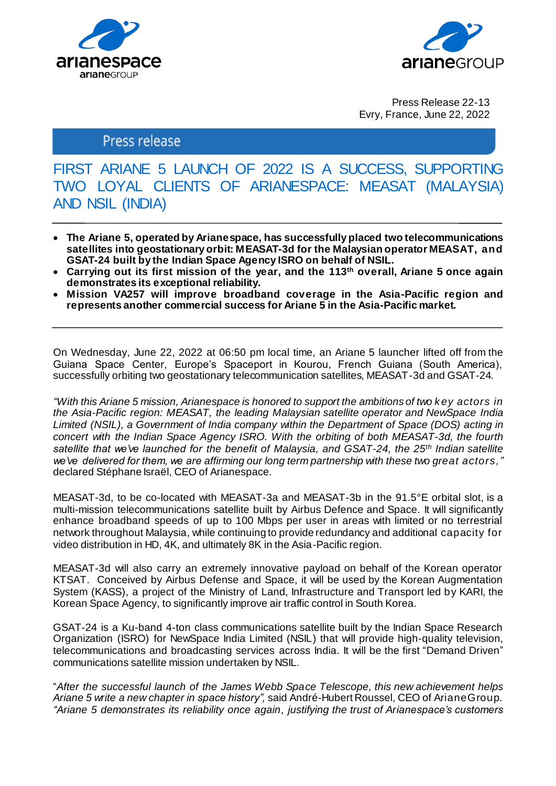



Press Release 22-13 Evry, France, June 22, 2022

# Press release

# FIRST ARIANE 5 LAUNCH OF 2022 IS A SUCCESS, SUPPORTING TWO LOYAL CLIENTS OF ARIANESPACE: MEASAT (MALAYSIA) AND NSIL (INDIA)

- **The Ariane 5, operated by Arianespace, has successfully placed two telecommunications satellites into geostationary orbit: MEASAT-3d for the Malaysian operator MEASAT, and GSAT-24 built by the Indian Space Agency ISRO on behalf of NSIL.**
- **Carrying out its first mission of the year, and the 113th overall, Ariane 5 once again demonstrates its exceptional reliability.**
- **Mission VA257 will improve broadband coverage in the Asia-Pacific region and represents another commercial success for Ariane 5 in the Asia-Pacific market.**

On Wednesday, June 22, 2022 at 06:50 pm local time, an Ariane 5 launcher lifted off from the Guiana Space Center, Europe's Spaceport in Kourou, French Guiana (South America), successfully orbiting two geostationary telecommunication satellites, MEASAT-3d and GSAT-24.

*"With this Ariane 5 mission, Arianespace is honored to support the ambitions of two k ey actors in the Asia-Pacific region: MEASAT, the leading Malaysian satellite operator and NewSpace India Limited (NSIL), a Government of India company within the Department of Space (DOS) acting in concert with the Indian Space Agency ISRO. With the orbiting of both MEASAT-3d, the fourth satellite that we've launched for the benefit of Malaysia, and GSAT-24, the 25th Indian satellite we've delivered for them, we are affirming our long term partnership with these two great actors,"*  declared Stéphane Israël, CEO of Arianespace.

MEASAT-3d, to be co-located with MEASAT-3a and MEASAT-3b in the 91.5°E orbital slot, is a multi-mission telecommunications satellite built by Airbus Defence and Space. It will significantly enhance broadband speeds of up to 100 Mbps per user in areas with limited or no terrestrial network throughout Malaysia, while continuing to provide redundancy and additional capacity for video distribution in HD, 4K, and ultimately 8K in the Asia-Pacific region.

MEASAT-3d will also carry an extremely innovative payload on behalf of the Korean operator KTSAT. Conceived by Airbus Defense and Space, it will be used by the Korean Augmentation System (KASS), a project of the Ministry of Land, Infrastructure and Transport led by KARI, the Korean Space Agency, to significantly improve air traffic control in South Korea.

GSAT-24 is a Ku-band 4-ton class communications satellite built by the Indian Space Research Organization (ISRO) for NewSpace India Limited (NSIL) that will provide high-quality television, telecommunications and broadcasting services across India. It will be the first "Demand Driven" communications satellite mission undertaken by NSIL.

"*After the successful launch of the James Webb Space Telescope, this new achievement helps Ariane 5 write a new chapter in space history",* said André-Hubert Roussel, CEO of ArianeGroup*. "Ariane 5 demonstrates its reliability once again, justifying the trust of Arianespace's customers*